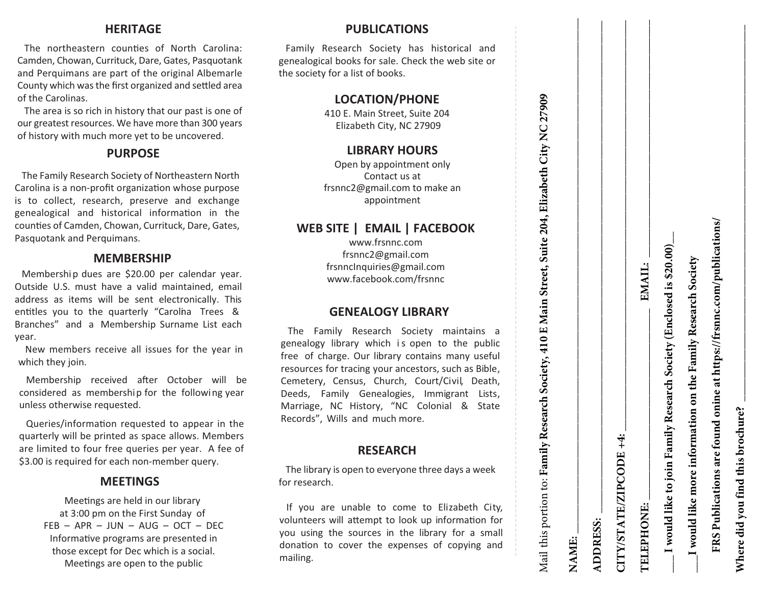#### **HERITAGE**

The northeastern counties of North Carolina: Camden, Chowan, Currituck, Dare, Gates, Pasquotank and Perquimans are part of the original Albemarle County which was the first organized and settled area of the Carolinas.

The area is so rich in history that our past is one of our greatest resources. We have more than 300 years of history with much more yet to be uncovered.

# **PURPOSE**

The Family Research Society of Northeastern North Carolina is a non-profit organization whose purpose is to collect, research, preserve and exchange genealogical and historical information in the counties of Camden, Chowan, Currituck, Dare, Gates, Pasquotank and Perquimans.

#### **MEMBERSHIP**

Membership dues are \$20.00 per calendar year. Outside U.S. must have a valid maintained , email address as items will be sent electronically . This entitles you to the quarterly "Carolna Trees & Branches" and a Membership Surname List each year.

New members receive all issues for the year in which they join.

Membership received after October will be considered as membership for the following year unless otherwise requested.

Queries/information requested to appear in the quarterly will be printed as space allows. Members are limited to four free queries per year. A fee of \$3.00 is required for each non-member query.

# **MEETINGS**

Meetings are held in our library at 3:00 pm on the First Sunday of FEB – APR – JUN – AUG – OCT – DEC Informative programs are presented in those except for Dec which is a social. Meetings are open to the public

# **PUBLICATIONS**

Family Research Society has historical and genealogical books for sale. Check the web site or the society for a list of books.

# **LOCATION/PHONE**

410 E. Main Street, Suite 204 Elizabeth City, NC 27909

# **LIBRARY HOURS**

Open by appointment only Contact us at frsnnc2@gmail.com to make an appointment

# **WEB SITE | EMAIL | FACEBOOK**

www.frsnnc.com frsnnc2@gmail.com frsnncInquiries@gmail.com www.facebook.com/frsnnc

#### **GENEALOGY LIBRARY**

The Family Research Society maintains a genealogy li brary whi c h is open to the public free of charge. Our library contains many useful resources for tracing your ancestors, such as Bible, Cemetery, Census, Church, Court/Civil, Death, Deeds, Family Genealogies, Immigrant Lists, Marriage, NC History, "NC Coloni al & State Records", Wills and much more.

#### **RESEARCH**

The library is open to everyone three days a week for research.

If you are unable to come to Elizabeth City, volunteers will attempt to look up information for you using the sources in the library for a small donation to cover the expenses of copying and mailing.

| しんきゅう かんしょう かんじょう |
|-------------------|
|                   |
|                   |
|                   |
|                   |
|                   |
|                   |
|                   |
|                   |
|                   |
|                   |
|                   |
|                   |
|                   |
|                   |
|                   |
|                   |
| - .-- - <<        |
|                   |
|                   |
|                   |
|                   |
|                   |
|                   |
|                   |
|                   |
|                   |
|                   |
|                   |
| i                 |
|                   |
|                   |
|                   |
|                   |
|                   |
| - - - - - - - -   |
|                   |
|                   |
|                   |
|                   |
|                   |
|                   |
|                   |
|                   |
|                   |
|                   |
|                   |
|                   |
|                   |
|                   |
|                   |
|                   |
|                   |
|                   |
|                   |
|                   |
|                   |
|                   |
|                   |
|                   |
|                   |
|                   |
|                   |
|                   |
|                   |
|                   |
|                   |

| NAME:                                                                |                                                  |  |
|----------------------------------------------------------------------|--------------------------------------------------|--|
| <b>ADDRESS:</b>                                                      |                                                  |  |
| CITY/STATE/ZIPCODE+4:                                                |                                                  |  |
| <b>TELEPHONE:</b>                                                    | EMAIL:                                           |  |
| I would like to join Far                                             | mily Research Society (Enclosed is \$20.00) $\_$ |  |
| I would like more information on the Family Research Society         |                                                  |  |
| FRS Publications are found onine at https://frsnnc.com/publications/ |                                                  |  |

**Where did you find this brochure? \_\_\_\_\_\_\_\_\_\_\_\_\_\_\_\_\_\_\_\_\_\_\_\_\_\_\_\_\_\_\_\_\_\_\_\_\_\_\_\_\_\_\_\_\_\_\_\_\_\_\_\_\_\_\_\_\_\_\_\_\_\_\_\_\_**

Where did you find this brochure?